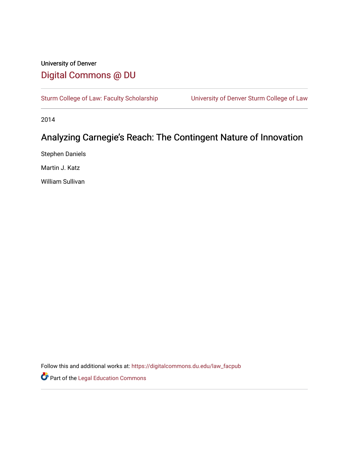## University of Denver [Digital Commons @ DU](https://digitalcommons.du.edu/)

[Sturm College of Law: Faculty Scholarship](https://digitalcommons.du.edu/law_facpub) [University of Denver Sturm College of Law](https://digitalcommons.du.edu/denver_law) 

2014

# Analyzing Carnegie's Reach: The Contingent Nature of Innovation

Stephen Daniels

Martin J. Katz

William Sullivan

Follow this and additional works at: [https://digitalcommons.du.edu/law\\_facpub](https://digitalcommons.du.edu/law_facpub?utm_source=digitalcommons.du.edu%2Flaw_facpub%2F156&utm_medium=PDF&utm_campaign=PDFCoverPages) 

**Part of the Legal Education Commons**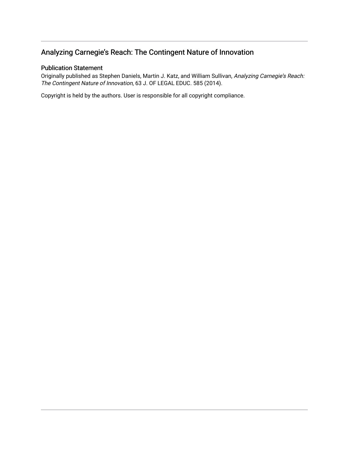## Analyzing Carnegie's Reach: The Contingent Nature of Innovation

## Publication Statement

Originally published as Stephen Daniels, Martin J. Katz, and William Sullivan, Analyzing Carnegie's Reach: The Contingent Nature of Innovation, 63 J. OF LEGAL EDUC. 585 (2014).

Copyright is held by the authors. User is responsible for all copyright compliance.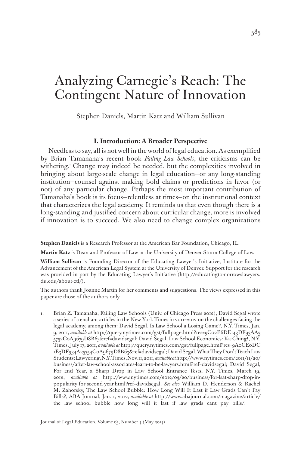# Analyzing Carnegie's Reach: The Contingent Nature of Innovation

Stephen Daniels, Martin Katz and William Sullivan

## **I. Introduction: A Broader Perspective**

Needless to say, all is not well in the world of legal education. As exemplified by Brian Tamanaha's recent book *Failing Law Schools*, the criticisms can be withering.<sup>1</sup> Change may indeed be needed, but the complexities involved in bringing about large-scale change in legal education—or any long-standing institution—counsel against making bold claims or predictions in favor (or not) of any particular change. Perhaps the most important contribution of Tamanaha's book is its focus—relentless at times—on the institutional context that characterizes the legal academy. It reminds us that even though there is a long-standing and justified concern about curricular change, more is involved if innovation is to succeed. We also need to change complex organizations

**Stephen Daniels** is a Research Professor at the American Bar Foundation, Chicago, IL.

**Martin Katz** is Dean and Professor of Law at the University of Denver Sturm College of Law.

**William Sullivan** is Founding Director of the Educating Lawyer's Initiative, Institute for the Advancement of the American Legal System at the University of Denver. Support for the research was provided in part by the Educating Lawyer's Initiative (http://educatingtomorrowslawyers. du.edu/about-etl/).

The authors thank Joanne Martin for her comments and suggestions. The views expressed in this paper are those of the authors only.

1. Brian Z. Tamanaha, Failing Law Schools (Univ. of Chicago Press 2012); David Segal wrote a series of trenchant articles in the New York Times in 2011–2012 on the challenges facing the legal academy, among them: David Segal, Is Law School a Losing Game?, N.Y. Times, Jan. 9, 2011, *available at* http://query.nytimes.com/gst/fullpage.html?res=9C02E6DE143DF93AA3 5752C0A9679D8B63&ref=davidsegal; David Segal, Law School Economics: Ka-Ching!, N.Y. Times, July 17, 2011, *available at* http://query.nytimes.com/gst/fullpage.html?res=9A0CE0DC 1E3DF934A25754C0A9679D8B63&ref=davidsegal; David Segal, What They Don't Teach Law Students: Lawyering, N.Y. Times, Nov. 11, 2011, *available at* http://www.nytimes.com/2011/11/20/ business/after-law-school-associates-learn-to-be-lawyers.html?ref=davidsegal; David Segal, For 2nd Year, a Sharp Drop in Law School Entrance Tests, N.Y. Times, March 19, 2012, *available at* http://www.nytimes.com/2012/03/20/business/for-lsat-sharp-drop-inpopularity-for-second-year.html?ref=davidsegal. *See also* William D. Henderson & Rachel M. Zahorsky, The Law School Bubble: How Long Will It Last if Law Grads Can't Pay Bills?, ABA Journal, Jan. 1, 2012, *available at* http://www.abajournal.com/magazine/article/ the\_law\_school\_bubble\_how\_long\_will\_it\_last\_if\_law\_grads\_cant\_pay\_bills/.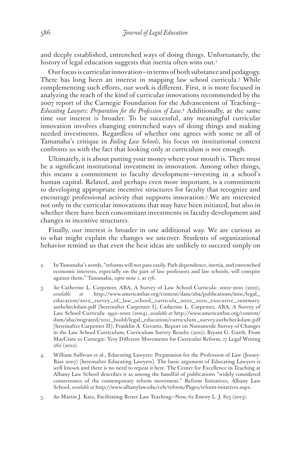and deeply established, entrenched ways of doing things. Unfortunately, the history of legal education suggests that inertia often wins out.<sup>2</sup>

Our focus is curricular innovation—in terms of both substance and pedagogy. There has long been an interest in mapping law school curricula.3 While complementing such efforts, our work is different. First, it is more focused in analyzing the reach of the kind of curricular innovations recommended by the 2007 report of the Carnegie Foundation for the Advancement of Teaching— *Educating Lawyers: Preparation for the Profession of Law*. 4 Additionally, at the same time our interest is broader. To be successful, any meaningful curricular innovation involves changing entrenched ways of doing things and making needed investments. Regardless of whether one agrees with some or all of Tamanaha's critique in *Failing Law Schools*, his focus on institutional context confronts us with the fact that looking only at curriculum is not enough.

Ultimately, it is about putting your money where your mouth is. There must be a significant institutional investment in innovation. Among other things, this means a commitment to faculty development—investing in a school's human capital. Related, and perhaps even more important, is a commitment to developing appropriate incentive structures for faculty that recognize and encourage professional activity that supports innovation.5 We are interested not only in the curricular innovations that may have been initiated, but also in whether there have been concomitant investments in faculty development and changes in incentive structures.

Finally, our interest is broader in one additional way. We are curious as to what might explain the changes we uncover. Students of organizational behavior remind us that even the best ideas are unlikely to succeed simply on

- 2. In Tamanaha's words, "reforms will not pass easily. Path dependence, inertia, and entrenched economic interests, especially on the part of law professors and law schools, will conspire against them." Tamanaha, *supra* note 1, at 176.
- 3. *See* Catherine L. Carpenter, ABA, A Survey of Law School Curricula: 2002–2010 (2012), *available at* http://www.americanbar.org/content/dam/aba/publications/misc/legal\_ education/2012\_survey\_of\_law\_school\_curricula\_2002\_2010\_executive\_summary. authcheckdam.pdf [hereinafter Carpenter I]; Catherine L. Carpenter, ABA, A Survey of Law School Curricula: 1992–2002 (2004), *available at* http://www.americanbar.org/content/ dam/aba/migrated/2011\_build/legal\_education/curriculum\_survey.authcheckdam.pdf [hereinafter Carpenter II]; Franklin A. Gevurtz, Report on Nationwide Survey of Changes in the Law School Curriculum, Curriculum Survey Results (2011); Bryant G. Garth, From MacCrate to Carnegie: Very Different Movements for Curricular Reform, 17 Legal Writing 262 (2012).
- 4. William Sullivan et al., Educating Lawyers: Preparation for the Profession of Law (Jossey-Bass 2007) [hereinafter Educating Lawyers]. The basic argument of Educating Lawyers is well known and there is no need to repeat it here. The Center for Excellence in Teaching at Albany Law School describes it as among the handful of publications "widely considered cornerstones of the contemporary reform movement." Reform Initiatives, Albany Law School, *available at* http://www.albanylaw.edu/celt/reform/Pages/reform-initatives.aspx.
- 5. *See* Martin J. Katz, Facilitating Better Law Teaching—Now, 62 Emory L. J. 823 (2013).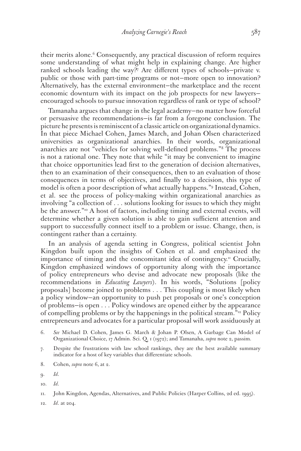their merits alone.<sup>6</sup> Consequently, any practical discussion of reform requires some understanding of what might help in explaining change. Are higher ranked schools leading the way?7 Are different types of schools—private v. public or those with part-time programs or not—more open to innovation? Alternatively, has the external environment—the marketplace and the recent economic downturn with its impact on the job prospects for new lawyers encouraged schools to pursue innovation regardless of rank or type of school?

Tamanaha argues that change in the legal academy—no matter how forceful or persuasive the recommendations—is far from a foregone conclusion. The picture he presents is reminiscent of a classic article on organizational dynamics. In that piece Michael Cohen, James March, and Johan Olsen characterized universities as organizational anarchies. In their words, organizational anarchies are not "vehicles for solving well-defined problems."8 The process is not a rational one. They note that while "it may be convenient to imagine that choice opportunities lead first to the generation of decision alternatives, then to an examination of their consequences, then to an evaluation of those consequences in terms of objectives, and finally to a decision, this type of model is often a poor description of what actually happens."9 Instead, Cohen, et al. see the process of policy-making within organizational anarchies as involving "a collection of . . . solutions looking for issues to which they might be the answer."10 A host of factors, including timing and external events, will determine whether a given solution is able to gain sufficient attention and support to successfully connect itself to a problem or issue. Change, then, is contingent rather than a certainty.

In an analysis of agenda setting in Congress, political scientist John Kingdon built upon the insights of Cohen et al. and emphasized the importance of timing and the concomitant idea of contingency.<sup>11</sup> Crucially, Kingdon emphasized windows of opportunity along with the importance of policy entrepreneurs who devise and advocate new proposals (like the recommendations in *Educating Lawyers*). In his words, "Solutions [policy proposals] become joined to problems . . . This coupling is most likely when a policy window—an opportunity to push pet proposals or one's conception of problems—is open . . . Policy windows are opened either by the appearance of compelling problems or by the happenings in the political stream."12 Policy entrepreneurs and advocates for a particular proposal will work assiduously at

- 6. *See* Michael D. Cohen, James G. March & Johan P. Olsen, A Garbage Can Model of Organizational Choice, 17 Admin. Sci. Q. 1 (1972); and Tamanaha, *supra* note 2, passim.
- 7. Despite the frustrations with law school rankings, they are the best available summary indicator for a host of key variables that differentiate schools.
- 8. Cohen, *supra* note 6, at 2.

12. *Id*. at 204.

<sup>9.</sup> *Id*.

<sup>10.</sup> *Id*.

<sup>11.</sup> John Kingdon, Agendas, Alternatives, and Public Policies (Harper Collins, 2d ed. 1995).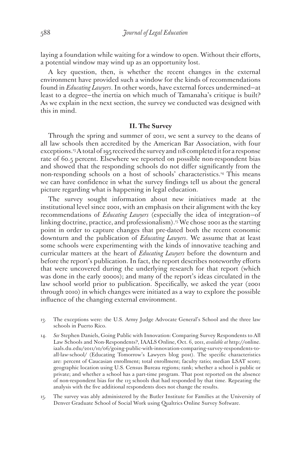laying a foundation while waiting for a window to open. Without their efforts, a potential window may wind up as an opportunity lost.

A key question, then, is whether the recent changes in the external environment have provided such a window for the kinds of recommendations found in *Educating Lawyers*. In other words, have external forces undermined—at least to a degree—the inertia on which much of Tamanaha's critique is built? As we explain in the next section, the survey we conducted was designed with this in mind.

## **II. The Survey**

Through the spring and summer of 2011, we sent a survey to the deans of all law schools then accredited by the American Bar Association, with four exceptions.<sup>13</sup> A total of 195 received the survey and 118 completed it for a response rate of 60.5 percent. Elsewhere we reported on possible non-respondent bias and showed that the responding schools do not differ significantly from the non-responding schools on a host of schools' characteristics.14 This means we can have confidence in what the survey findings tell us about the general picture regarding what is happening in legal education.

The survey sought information about new initiatives made at the institutional level since 2001, with an emphasis on their alignment with the key recommendations of *Educating Lawyers* (especially the idea of integration—of linking doctrine, practice, and professionalism).<sup>15</sup> We chose 2001 as the starting point in order to capture changes that pre-dated both the recent economic downturn and the publication of *Educating Lawyers*. We assume that at least some schools were experimenting with the kinds of innovative teaching and curricular matters at the heart of *Educating Lawyers* before the downturn and before the report's publication. In fact, the report describes noteworthy efforts that were uncovered during the underlying research for that report (which was done in the early 2000s); and many of the report's ideas circulated in the law school world prior to publication. Specifically, we asked the year (2001 through 2010) in which changes were initiated as a way to explore the possible influence of the changing external environment.

- 13. The exceptions were: the U.S. Army Judge Advocate General's School and the three law schools in Puerto Rico.
- 14. *See* Stephen Daniels, Going Public with Innovation: Comparing Survey Respondents to All Law Schools and Non-Respondents?, IAALS Online, Oct. 6, 2011, *available at* http://online. iaals.du.edu/2011/10/06/going-public-with-innovation-comparing-survey-respondents-toall-law-school/ (Educating Tomorrow's Lawyers blog post). The specific characteristics are: percent of Caucasian enrollment; total enrollment; faculty ratio; median LSAT score; geographic location using U.S. Census Bureau regions; rank; whether a school is public or private; and whether a school has a part-time program. That post reported on the absence of non-respondent bias for the 113 schools that had responded by that time. Repeating the analysis with the five additional respondents does not change the results.
- 15. The survey was ably administered by the Butler Institute for Families at the University of Denver Graduate School of Social Work using Qualtrics Online Survey Software.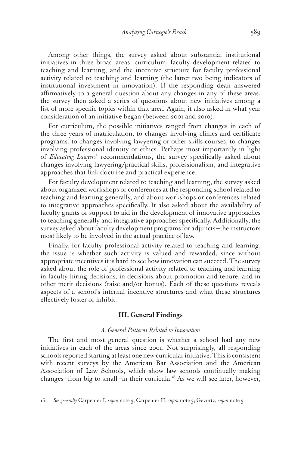Among other things, the survey asked about substantial institutional initiatives in three broad areas: curriculum; faculty development related to teaching and learning; and the incentive structure for faculty professional activity related to teaching and learning (the latter two being indicators of institutional investment in innovation). If the responding dean answered affirmatively to a general question about any changes in any of these areas, the survey then asked a series of questions about new initiatives among a list of more specific topics within that area. Again, it also asked in what year consideration of an initiative began (between 2001 and 2010).

For curriculum, the possible initiatives ranged from changes in each of the three years of matriculation, to changes involving clinics and certificate programs, to changes involving lawyering or other skills courses, to changes involving professional identity or ethics. Perhaps most importantly in light of *Educating Lawyers*' recommendations, the survey specifically asked about changes involving lawyering/practical skills, professionalism, and integrative approaches that link doctrine and practical experience.

For faculty development related to teaching and learning, the survey asked about organized workshops or conferences at the responding school related to teaching and learning generally, and about workshops or conferences related to integrative approaches specifically. It also asked about the availability of faculty grants or support to aid in the development of innovative approaches to teaching generally and integrative approaches specifically. Additionally, the survey asked about faculty development programs for adjuncts—the instructors most likely to be involved in the actual practice of law.

Finally, for faculty professional activity related to teaching and learning, the issue is whether such activity is valued and rewarded, since without appropriate incentives it is hard to see how innovation can succeed. The survey asked about the role of professional activity related to teaching and learning in faculty hiring decisions, in decisions about promotion and tenure, and in other merit decisions (raise and/or bonus). Each of these questions reveals aspects of a school's internal incentive structures and what these structures effectively foster or inhibit.

## **III. General Findings**

## *A. General Patterns Related to Innovation*

The first and most general question is whether a school had any new initiatives in each of the areas since 2001. Not surprisingly, all responding schools reported starting at least one new curricular initiative. This is consistent with recent surveys by the American Bar Association and the American Association of Law Schools, which show law schools continually making changes–from big to small–in their curricula.<sup>16</sup> As we will see later, however,

16. *See generally* Carpenter I, *supra* note 3; Carpenter II, *supra* note 3; Gevurtz, *supra* note 3.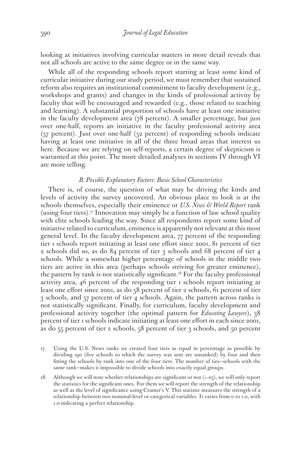looking at initiatives involving curricular matters in more detail reveals that not all schools are active to the same degree or in the same way.

While all of the responding schools report starting at least some kind of curricular initiative during our study period, we must remember that sustained reform also requires an institutional commitment to faculty development (e.g., workshops and grants) and changes in the kinds of professional activity by faculty that will be encouraged and rewarded (e.g., those related to teaching and learning). A substantial proportion of schools have at least one initiative in the faculty development area (78 percent). A smaller percentage, but just over one-half, reports an initiative in the faculty professional activity area (57 percent). Just over one-half (52 percent) of responding schools indicate having at least one initiative in all of the three broad areas that interest us here. Because we are relying on self-reports, a certain degree of skepticism is warranted at this point. The more detailed analyses in sections IV through VI are more telling.

#### *B. Possible Explanatory Factors: Basic School Characteristics*

There is, of course, the question of what may be driving the kinds and levels of activity the survey uncovered. An obvious place to look is at the schools themselves, especially their eminence or *U.S. News & World Report* rank (using four tiers).<sup>17</sup> Innovation may simply be a function of law school quality with elite schools leading the way. Since all respondents report some kind of initiative related to curriculum, eminence is apparently not relevant at this most general level. In the faculty development area, 77 percent of the responding tier 1 schools report initiating at least one effort since 2001, 81 percent of tier 2 schools did so, as do 84 percent of tier 3 schools and 68 percent of tier 4 schools. While a somewhat higher percentage of schools in the middle two tiers are active in this area (perhaps schools striving for greater eminence), the pattern by rank is not statistically significant.<sup>18</sup> For the faculty professional activity area, 46 percent of the responding tier 1 schools report initiating at least one effort since 2001, as do 58 percent of tier 2 schools, 61 percent of tier 3 schools, and 57 percent of tier 4 schools. Again, the pattern across ranks is not statistically significant. Finally, for curriculum, faculty development and professional activity together (the optimal pattern for *Educating Lawyers*), 38 percent of tier 1 schools indicate initiating at least one effort in each since 2001, as do 55 percent of tier 2 schools, 58 percent of tier 3 schools, and 50 percent

- 17. Using the U.S. News ranks we created four tiers as equal in percentage as possible by dividing 190 (five schools to which the survey was sent are unranked) by four and then fitting the schools by rank into one of the four tiers. The number of ties—schools with the same rank—makes it impossible to divide schools into exactly equal groups.
- 18. Although we will note whether relationships are significant or not (<.05), we will only report the statistics for the significant ones. For them we will report the strength of the relationship as well as the level of significance using Cramer's V. This statistic measures the strength of a relationship between two nominal-level or categorical variables. It varies from 0 to 1.0, with 1.0 indicating a perfect relationship.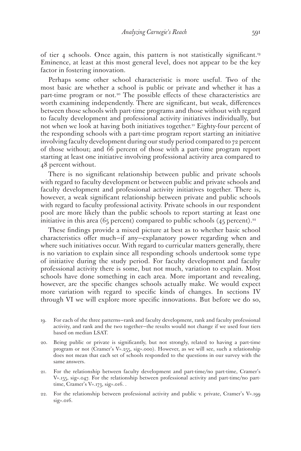of tier 4 schools. Once again, this pattern is not statistically significant.19 Eminence, at least at this most general level, does not appear to be the key factor in fostering innovation.

Perhaps some other school characteristic is more useful. Two of the most basic are whether a school is public or private and whether it has a part-time program or not.<sup>20</sup> The possible effects of these characteristics are worth examining independently. There are significant, but weak, differences between those schools with part-time programs and those without with regard to faculty development and professional activity initiatives individually, but not when we look at having both initiatives together.<sup>21</sup> Eighty-four percent of the responding schools with a part-time program report starting an initiative involving faculty development during our study period compared to 72 percent of those without; and 66 percent of those with a part-time program report starting at least one initiative involving professional activity area compared to 48 percent without.

There is no significant relationship between public and private schools with regard to faculty development or between public and private schools and faculty development and professional activity initiatives together. There is, however, a weak significant relationship between private and public schools with regard to faculty professional activity. Private schools in our respondent pool are more likely than the public schools to report starting at least one initiative in this area (65 percent) compared to public schools (45 percent).<sup>22</sup>

These findings provide a mixed picture at best as to whether basic school characteristics offer much—if any—explanatory power regarding when and where such initiatives occur. With regard to curricular matters generally, there is no variation to explain since all responding schools undertook some type of initiative during the study period. For faculty development and faculty professional activity there is some, but not much, variation to explain. Most schools have done something in each area. More important and revealing, however, are the specific changes schools actually make. We would expect more variation with regard to specific kinds of changes. In sections IV through VI we will explore more specific innovations. But before we do so,

- 19. For each of the three patterns—rank and faculty development, rank and faculty professional activity, and rank and the two together—the results would not change if we used four tiers based on median LSAT.
- 20. Being public or private is significantly, but not strongly, related to having a part-time program or not (Cramer's V=.255, sig=.000). However, as we will see, such a relationship does not mean that each set of schools responded to the questions in our survey with the same answers.
- 21. For the relationship between faculty development and part-time/no part-time, Cramer's V=.155, sig=.047. For the relationship between professional activity and part-time/no parttime, Cramer's V=.173, sig=.016. .
- 22. For the relationship between professional activity and public v. private, Cramer's V=.199 sig=.016.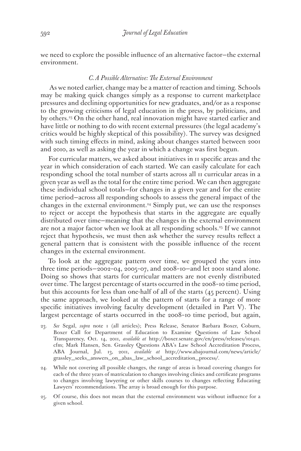we need to explore the possible influence of an alternative factor—the external environment.

## *C. A Possible Alternative: The External Environment*

 As we noted earlier, change may be a matter of reaction and timing. Schools may be making quick changes simply as a response to current marketplace pressures and declining opportunities for new graduates, and/or as a response to the growing criticisms of legal education in the press, by politicians, and by others.23 On the other hand, real innovation might have started earlier and have little or nothing to do with recent external pressures (the legal academy's critics would be highly skeptical of this possibility). The survey was designed with such timing effects in mind, asking about changes started between 2001 and 2010, as well as asking the year in which a change was first begun.

For curricular matters, we asked about initiatives in 11 specific areas and the year in which consideration of each started. We can easily calculate for each responding school the total number of starts across all 11 curricular areas in a given year as well as the total for the entire time period. We can then aggregate these individual school totals—for changes in a given year and for the entire time period—across all responding schools to assess the general impact of the changes in the external environment.24 Simply put, we can use the responses to reject or accept the hypothesis that starts in the aggregate are equally distributed over time—meaning that the changes in the external environment are not a major factor when we look at all responding schools.<sup>25</sup> If we cannot reject that hypothesis, we must then ask whether the survey results reflect a general pattern that is consistent with the possible influence of the recent changes in the external environment.

To look at the aggregate pattern over time, we grouped the years into three time periods—2002–04, 2005–07, and 2008–10—and let 2001 stand alone. Doing so shows that starts for curricular matters are not evenly distributed over time. The largest percentage of starts occurred in the 2008–10 time period, but this accounts for less than one-half of all of the starts (45 percent). Using the same approach, we looked at the pattern of starts for a range of more specific initiatives involving faculty development (detailed in Part V). The largest percentage of starts occurred in the 2008–10 time period, but again,

- 23. *See* Segal, *supra* note 1 (all articles); Press Release, Senator Barbara Boxer, Coburn, Boxer Call for Department of Education to Examine Questions of Law School Transparency, Oct. 14, 2011, *available at* http://boxer.senate.gov/en/press/releases/101411. cfm; Mark Hansen, Sen. Grassley Questions ABA's Law School Accreditation Process, ABA Journal, Jul. 13, 2011, *available at* http://www.abajournal.com/news/article/ grassley\_seeks\_answers\_on\_abas\_law\_school\_accreditation\_process/.
- 24. While not covering all possible changes, the range of areas is broad covering changes for each of the three years of matriculation to changes involving clinics and certificate programs to changes involving lawyering or other skills courses to changes reflecting Educating Lawyers' recommendations. The array is broad enough for this purpose.
- 25. Of course, this does not mean that the external environment was without influence for a given school.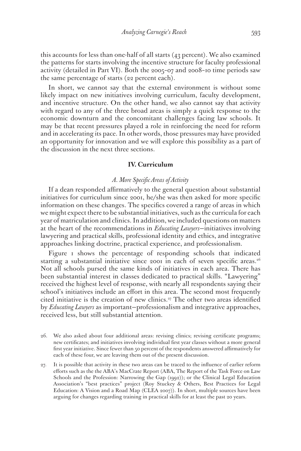this accounts for less than one-half of all starts (43 percent). We also examined the patterns for starts involving the incentive structure for faculty professional activity (detailed in Part VI). Both the 2005–07 and 2008–10 time periods saw the same percentage of starts (22 percent each).

In short, we cannot say that the external environment is without some likely impact on new initiatives involving curriculum, faculty development, and incentive structure. On the other hand, we also cannot say that activity with regard to any of the three broad areas is simply a quick response to the economic downturn and the concomitant challenges facing law schools. It may be that recent pressures played a role in reinforcing the need for reform and in accelerating its pace. In other words, those pressures may have provided an opportunity for innovation and we will explore this possibility as a part of the discussion in the next three sections.

#### **IV. Curriculum**

## *A. More Specific Areas of Activity*

If a dean responded affirmatively to the general question about substantial initiatives for curriculum since 2001, he/she was then asked for more specific information on these changes. The specifics covered a range of areas in which we might expect there to be substantial initiatives, such as the curricula for each year of matriculation and clinics. In addition, we included questions on matters at the heart of the recommendations in *Educating Lawyers*—initiatives involving lawyering and practical skills, professional identity and ethics, and integrative approaches linking doctrine, practical experience, and professionalism.

Figure 1 shows the percentage of responding schools that indicated starting a substantial initiative since 2001 in each of seven specific areas.<sup>26</sup> Not all schools pursed the same kinds of initiatives in each area. There has been substantial interest in classes dedicated to practical skills. "Lawyering" received the highest level of response, with nearly all respondents saying their school's initiatives include an effort in this area. The second most frequently cited initiative is the creation of new clinics.27 The other two areas identified by *Educating Lawyers* as important—professionalism and integrative approaches, received less, but still substantial attention.

- 26. We also asked about four additional areas: revising clinics; revising certificate programs; new certificates; and initiatives involving individual first year classes without a more general first year initiative. Since fewer than 50 percent of the respondents answered affirmatively for each of these four, we are leaving them out of the present discussion.
- 27. It is possible that activity in these two areas can be traced to the influence of earlier reform efforts such as the the ABA's MacCrate Report (ABA, The Report of the Task Force on Law Schools and the Profession: Narrowing the Gap (1992)); or the Clinical Legal Education Association's "best practices" project (Roy Stuckey & Others, Best Practices for Legal Education: A Vision and a Road Map (CLEA 2007)). In short, multiple sources have been arguing for changes regarding training in practical skills for at least the past 20 years.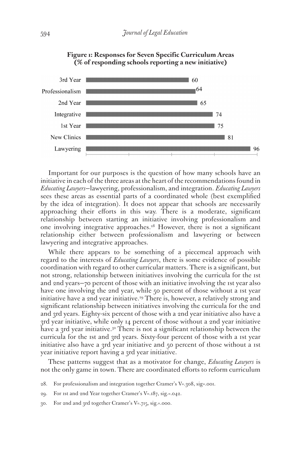

**Figure 1: Responses for Seven Specific Curriculum Areas (% of responding schools reporting a new initiative)**

Important for our purposes is the question of how many schools have an initiative in each of the three areas at the heart of the recommendations found in *Educating Lawyers*—lawyering, professionalism, and integration. *Educating Lawyers* sees these areas as essential parts of a coordinated whole (best exemplified by the idea of integration). It does not appear that schools are necessarily approaching their efforts in this way. There is a moderate, significant relationship between starting an initiative involving professionalism and one involving integrative approaches.<sup>28</sup> However, there is not a significant relationship either between professionalism and lawyering or between lawyering and integrative approaches.

While there appears to be something of a piecemeal approach with regard to the interests of *Educating Lawyers*, there is some evidence of possible coordination with regard to other curricular matters. There is a significant, but not strong, relationship between initiatives involving the curricula for the 1st and 2nd years—70 percent of those with an initiative involving the 1st year also have one involving the 2nd year, while 50 percent of those without a 1st year initiative have a 2nd year initiative.<sup>29</sup> There is, however, a relatively strong and significant relationship between initiatives involving the curricula for the 2nd and 3rd years. Eighty-six percent of those with a 2nd year initiative also have a 3rd year initiative, while only 14 percent of those without a 2nd year initiative have a 3rd year initiative.<sup>30</sup> There is not a significant relationship between the curricula for the 1st and 3rd years. Sixty-four percent of those with a 1st year initiative also have a 3rd year initiative and 50 percent of those without a 1st year initiative report having a 3rd year initiative.

These patterns suggest that as a motivator for change, *Educating Lawyers* is not the only game in town. There are coordinated efforts to reform curriculum

- 28. For professionalism and integration together Cramer's V=.308, sig=.001.
- 29. For 1st and 2nd Year together Cramer's V=.187, sig.=.042.
- 30. For 2nd and 3rd together Cramer's V=.715, sig.=.000.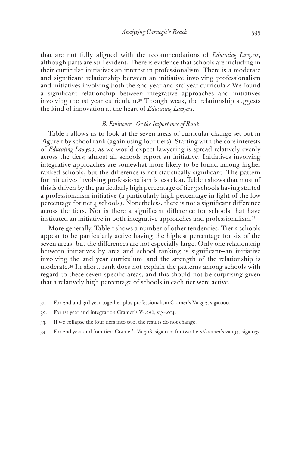that are not fully aligned with the recommendations of *Educating Lawyers*, although parts are still evident. There is evidence that schools are including in their curricular initiatives an interest in professionalism. There is a moderate and significant relationship between an initiative involving professionalism and initiatives involving both the 2nd year and 3rd year curricula.<sup>31</sup> We found a significant relationship between integrative approaches and initiatives involving the 1st year curriculum.<sup>32</sup> Though weak, the relationship suggests the kind of innovation at the heart of *Educating Lawyers*.

## *B. Eminence—Or the Importance of Rank*

Table 1 allows us to look at the seven areas of curricular change set out in Figure 1 by school rank (again using four tiers). Starting with the core interests of *Educating Lawyers*, as we would expect lawyering is spread relatively evenly across the tiers; almost all schools report an initiative. Initiatives involving integrative approaches are somewhat more likely to be found among higher ranked schools, but the difference is not statistically significant. The pattern for initiatives involving professionalism is less clear. Table 1 shows that most of this is driven by the particularly high percentage of tier 3 schools having started a professionalism initiative (a particularly high percentage in light of the low percentage for tier 4 schools). Nonetheless, there is not a significant difference across the tiers. Nor is there a significant difference for schools that have instituted an initiative in both integrative approaches and professionalism.33

More generally, Table 1 shows a number of other tendencies. Tier 3 schools appear to be particularly active having the highest percentage for six of the seven areas; but the differences are not especially large. Only one relationship between initiatives by area and school ranking is significant—an initiative involving the 2nd year curriculum—and the strength of the relationship is moderate.34 In short, rank does not explain the patterns among schools with regard to these seven specific areas, and this should not be surprising given that a relatively high percentage of schools in each tier were active.

- 31. For 2nd and 3rd year together plus professionalism Cramer's V=.392, sig=.000.
- 32. For 1st year and integration Cramer's V=.226, sig=.014.
- 33. If we collapse the four tiers into two, the results do not change.
- 34. For 2nd year and four tiers Cramer's V=.308, sig=.012; for two tiers Cramer's v=.194, sig=.037.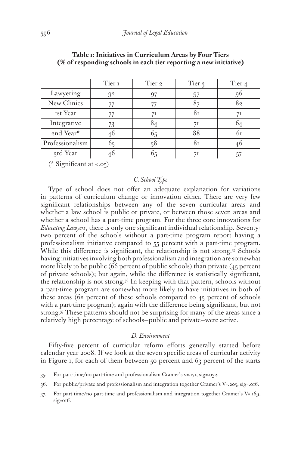|                 | Tier 1 | Tier 2 | Tier 3 | Tier <sub>4</sub> |
|-----------------|--------|--------|--------|-------------------|
| Lawyering       | 92     | 97     | 97     | 96                |
| New Clinics     | 77     | 77     | 87     | 82                |
| <b>Ist Year</b> | 77     | 71     | ŏт     | 71                |
| Integrative     | 73     | 84     | 71     | 64                |
| 2nd Year*       | 46     | 65     | 88     | 6т                |
| Professionalism | 65     | 58     |        | 46                |
| 3rd Year        | 46     | 65     | 71     |                   |

## **Table 1: Initiatives in Curriculum Areas by Four Tiers (% of responding schools in each tier reporting a new initiative)**

(\* Significant at <.05)

## *C. School Type*

Type of school does not offer an adequate explanation for variations in patterns of curriculum change or innovation either. There are very few significant relationships between any of the seven curricular areas and whether a law school is public or private, or between those seven areas and whether a school has a part-time program. For the three core innovations for *Educating Lawyers*, there is only one significant individual relationship. Seventytwo percent of the schools without a part-time program report having a professionalism initiative compared to 55 percent with a part-time program. While this difference is significant, the relationship is not strong.<sup>35</sup> Schools having initiatives involving both professionalism and integration are somewhat more likely to be public (66 percent of public schools) than private (45 percent of private schools); but again, while the difference is statistically significant, the relationship is not strong.36 In keeping with that pattern, schools without a part-time program are somewhat more likely to have initiatives in both of these areas (62 percent of these schools compared to 45 percent of schools with a part-time program); again with the difference being significant, but not strong.37 These patterns should not be surprising for many of the areas since a relatively high percentage of schools—public and private—were active.

## *D. Environment*

Fifty-five percent of curricular reform efforts generally started before calendar year 2008. If we look at the seven specific areas of curricular activity in Figure 1, for each of them between 50 percent and 63 percent of the starts

<sup>35.</sup> For part-time/no part-time and professionalism Cramer's v=.171, sig=.032.

<sup>36.</sup> For public/private and professionalism and integration together Cramer's V=.205, sig=.016.

<sup>37.</sup> For part-time/no part-time and professionalism and integration together Cramer's V=.169, sig=016.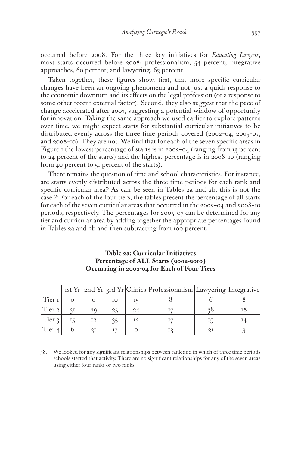occurred before 2008. For the three key initiatives for *Educating Lawyers*, most starts occurred before 2008: professionalism, 54 percent; integrative approaches, 60 percent; and lawyering, 63 percent.

Taken together, these figures show, first, that more specific curricular changes have been an ongoing phenomena and not just a quick response to the economic downturn and its effects on the legal profession (or a response to some other recent external factor). Second, they also suggest that the pace of change accelerated after 2007, suggesting a potential window of opportunity for innovation. Taking the same approach we used earlier to explore patterns over time, we might expect starts for substantial curricular initiatives to be distributed evenly across the three time periods covered (2002–04, 2005–07, and 2008–10). They are not. We find that for each of the seven specific areas in Figure 1 the lowest percentage of starts is in 2002–04 (ranging from 13 percent to 24 percent of the starts) and the highest percentage is in 2008–10 (ranging from 40 percent to 51 percent of the starts).

There remains the question of time and school characteristics. For instance, are starts evenly distributed across the three time periods for each rank and specific curricular area? As can be seen in Tables 2a and 2b, this is not the case.38 For each of the four tiers, the tables present the percentage of all starts for each of the seven curricular areas that occurred in the 2002–04 and 2008–10 periods, respectively. The percentages for 2005–07 can be determined for any tier and curricular area by adding together the appropriate percentages found in Tables 2a and 2b and then subtracting from 100 percent.

## **Table 2a: Curricular Initiatives Percentage of ALL Starts (2002-2010) Occurring in 2002-04 for Each of Four Tiers**

|                   |    |    |    |                | 180 11  2110 11  310 11  CHING  FOICSSIONALISM   LAWYCHING   HITCS1AUVC |    |  |
|-------------------|----|----|----|----------------|-------------------------------------------------------------------------|----|--|
| Tier I            |    |    | IΟ |                |                                                                         |    |  |
| Tier 2            | 2I | 29 | 25 | 24             |                                                                         |    |  |
| Tier 3            |    | 12 | 35 | I <sub>2</sub> |                                                                         |    |  |
| Tier <sub>4</sub> |    | 2I |    |                |                                                                         | 2I |  |

 $\frac{1}{\sqrt{2\pi}}$   $\frac{1}{\sqrt{2\pi}}$   $\frac{1}{\sqrt{2\pi}}$   $\frac{1}{\sqrt{2\pi}}$   $\frac{1}{\sqrt{2\pi}}$   $\frac{1}{\sqrt{2\pi}}$   $\frac{1}{\sqrt{2\pi}}$   $\frac{1}{\sqrt{2\pi}}$   $\frac{1}{\sqrt{2\pi}}$   $\frac{1}{\sqrt{2\pi}}$   $\frac{1}{\sqrt{2\pi}}$   $\frac{1}{\sqrt{2\pi}}$   $\frac{1}{\sqrt{2\pi}}$   $\frac{1}{\sqrt{2\pi}}$   $\frac{1}{\sqrt{2\$ 

38. We looked for any significant relationships between rank and in which of three time periods schools started that activity. There are no significant relationships for any of the seven areas using either four ranks or two ranks.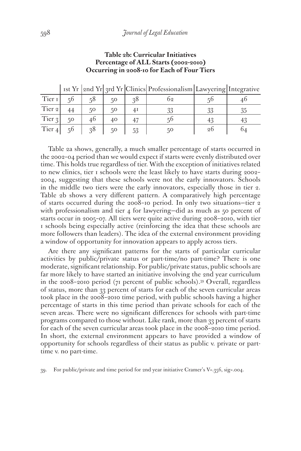|                   |    |              |    |    | 1st Yr  2nd Yr  3rd Yr  Clinics   Professionalism   Lawyering   Integrative |                |  |
|-------------------|----|--------------|----|----|-----------------------------------------------------------------------------|----------------|--|
| Tier I            | 50 | 58           | 50 | 2ð | ი 2                                                                         |                |  |
| Tier <sub>2</sub> |    | $50^{\circ}$ | 50 | 41 |                                                                             | 33             |  |
| Tier 3            | 50 | 46           | 40 |    |                                                                             |                |  |
| Tier $4$          | 56 | 38           | 50 |    | 50                                                                          | 2 <sub>0</sub> |  |

**Table 2b: Curricular Initiatives Percentage of ALL Starts (2002-2010) Occurring in 2008-10 for Each of Four Tiers**

Table 2a shows, generally, a much smaller percentage of starts occurred in the 2002–04 period than we would expect if starts were evenly distributed over time. This holds true regardless of tier. With the exception of initiatives related to new clinics, tier 1 schools were the least likely to have starts during 2002– 2004, suggesting that these schools were not the early innovators. Schools in the middle two tiers were the early innovators, especially those in tier 2. Table 2b shows a very different pattern. A comparatively high percentage of starts occurred during the 2008–10 period. In only two situations—tier 2 with professionalism and tier 4 for lawyering-did as much as 50 percent of starts occur in 2005–07. All tiers were quite active during 2008–2010, with tier 1 schools being especially active (reinforcing the idea that these schools are more followers than leaders). The idea of the external environment providing a window of opportunity for innovation appears to apply across tiers.

Are there any significant patterns for the starts of particular curricular activities by public/private status or part-time/no part-time? There is one moderate, significant relationship. For public/private status, public schools are far more likely to have started an initiative involving the 2nd year curriculum in the 2008–2010 period (71 percent of public schools).39 Overall, regardless of status, more than 33 percent of starts for each of the seven curricular areas took place in the 2008–2010 time period, with public schools having a higher percentage of starts in this time period than private schools for each of the seven areas. There were no significant differences for schools with part-time programs compared to those without. Like rank, more than 33 percent of starts for each of the seven curricular areas took place in the 2008–2010 time period. In short, the external environment appears to have provided a window of opportunity for schools regardless of their status as public v. private or parttime v. no part-time.

39. For public/private and time period for 2nd year initiative Cramer's V=.356, sig=.004.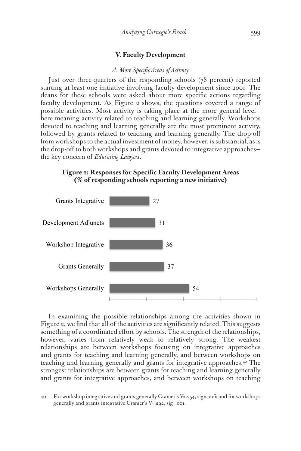## **V. Faculty Development**

## *A. More Specific Areas of Activity*

Just over three-quarters of the responding schools (78 percent) reported starting at least one initiative involving faculty development since 2001. The deans for these schools were asked about more specific actions regarding faculty development. As Figure 2 shows, the questions covered a range of possible activities. Most activity is taking place at the more general level here meaning activity related to teaching and learning generally. Workshops devoted to teaching and learning generally are the most prominent activity, followed by grants related to teaching and learning generally. The drop-off from workshops to the actual investment of money, however, is substantial, as is the drop-off to both workshops and grants devoted to integrative approaches the key concern of *Educating Lawyers*.

## **Figure 2: Responses for Specific Faculty Development Areas (% of responding schools reporting a new initiative)**



In examining the possible relationships among the activities shown in Figure 2, we find that all of the activities are significantly related. This suggests something of a coordinated effort by schools. The strength of the relationships, however, varies from relatively weak to relatively strong. The weakest relationships are between workshops focusing on integrative approaches and grants for teaching and learning generally, and between workshops on teaching and learning generally and grants for integrative approaches.40 The strongest relationships are between grants for teaching and learning generally and grants for integrative approaches, and between workshops on teaching

<sup>40.</sup> For workshop integrative and grants generally Cramer's V=.254, sig=.006; and for workshops generally and grants integrative Cramer's V=.292, sig=.001.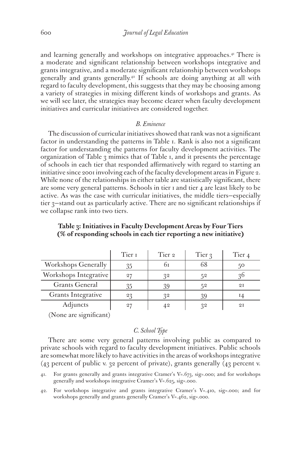and learning generally and workshops on integrative approaches.<sup>41</sup> There is a moderate and significant relationship between workshops integrative and grants integrative, and a moderate significant relationship between workshops generally and grants generally.42 If schools are doing anything at all with regard to faculty development, this suggests that they may be choosing among a variety of strategies in mixing different kinds of workshops and grants. As we will see later, the strategies may become clearer when faculty development initiatives and curricular initiatives are considered together.

#### *B. Eminence*

The discussion of curricular initiatives showed that rank was not a significant factor in understanding the patterns in Table 1. Rank is also not a significant factor for understanding the patterns for faculty development activities. The organization of Table 3 mimics that of Table 1, and it presents the percentage of schools in each tier that responded affirmatively with regard to starting an initiative since 2001 involving each of the faculty development areas in Figure 2. While none of the relationships in either table are statistically significant, there are some very general patterns. Schools in tier 1 and tier 4 are least likely to be active. As was the case with curricular initiatives, the middle tiers—especially tier 3—stand out as particularly active. There are no significant relationships if we collapse rank into two tiers.

|                            | Tier I | Tier 2 | Tier 3 | Tier 4 |
|----------------------------|--------|--------|--------|--------|
| <b>Workshops Generally</b> | 35     | bт     | 68     | 50     |
| Workshops Integrative      | 27     | 32     | 52     | 20     |
| Grants General             | 35     | 39     | 52     | 2I     |
| Grants Integrative         | 23     | 32     | 39     |        |
| Adjuncts                   | 27     |        | 22     | 2I     |

**Table 3: Initiatives in Faculty Development Areas by Four Tiers (% of responding schools in each tier reporting a new initiative)**

(None are significant)

## *C. School Type*

There are some very general patterns involving public as compared to private schools with regard to faculty development initiatives. Public schools are somewhat more likely to have activities in the areas of workshops integrative (43 percent of public v. 32 percent of private), grants generally (43 percent v.

41. For grants generally and grants integrative Cramer's V=.673, sig=.000; and for workshops generally and workshops integrative Cramer's V=.625, sig=.000.

42. For workshops integrative and grants integrative Cramer's V=.410, sig=.000; and for workshops generally and grants generally Cramer's V=.462, sig=.000.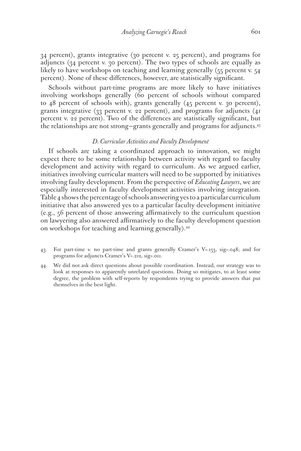34 percent), grants integrative (30 percent v. 25 percent), and programs for adjuncts (34 percent v. 30 percent). The two types of schools are equally as likely to have workshops on teaching and learning generally (55 percent v. 54 percent). None of these differences, however, are statistically significant.

Schools without part-time programs are more likely to have initiatives involving workshops generally (60 percent of schools without compared to 48 percent of schools with), grants generally (45 percent v. 30 percent), grants integrative (33 percent v. 22 percent), and programs for adjuncts (41 percent v. 22 percent). Two of the differences are statistically significant, but the relationships are not strong—grants generally and programs for adjuncts.43

## *D. Curricular Activities and Faculty Development*

If schools are taking a coordinated approach to innovation, we might expect there to be some relationship between activity with regard to faculty development and activity with regard to curriculum. As we argued earlier, initiatives involving curricular matters will need to be supported by initiatives involving faulty development. From the perspective of *Educating Lawyers*, we are especially interested in faculty development activities involving integration. Table 4 shows the percentage of schools answering yes to a particular curriculum initiative that also answered yes to a particular faculty development initiative (e.g., 56 percent of those answering affirmatively to the curriculum question on lawyering also answered affirmatively to the faculty development question on workshops for teaching and learning generally).44

- 43. For part-time v. no part-time and grants generally Cramer's V=.153, sig=.048; and for programs for adjuncts Cramer's V=.212, sig=.011.
- 44. We did not ask direct questions about possible coordination. Instead, our strategy was to look at responses to apparently unrelated questions. Doing so mitigates, to at least some degree, the problem with self-reports by respondents trying to provide answers that put themselves in the best light.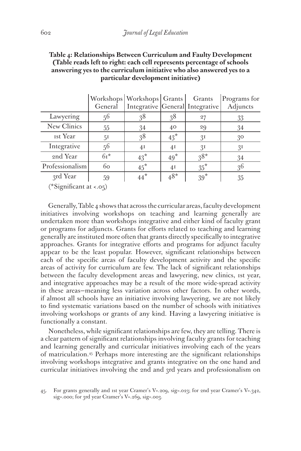|                                               |         | Workshops   Workshops   Grants |                | Grants                          | Programs for   |
|-----------------------------------------------|---------|--------------------------------|----------------|---------------------------------|----------------|
|                                               | General |                                |                | Integrative General Integrative | Adjuncts       |
| Lawyering                                     | 56      | 38                             | 38             | 27                              | 33             |
| New Clinics                                   | 55      | 34                             | 40             | 29                              | 34             |
| <b>Ist Year</b>                               | 51      | 38                             | $43^*$         | 3 <sup>I</sup>                  | $30^{\circ}$   |
| Integrative                                   | 56      | 4 <sup>I</sup>                 | 4 <sup>I</sup> | 3 <sup>I</sup>                  | 3 <sup>I</sup> |
| 2nd Year                                      | $6r^*$  | $43^*$                         | $49*$          | $38*$                           | 34             |
| Professionalism                               | 60      | $45^*$                         | 4 <sub>I</sub> | $35^*$                          | 3 <sup>6</sup> |
| 3rd Year                                      | 59      | $44*$                          | $48*$          | $39*$                           | 35             |
| $\sim$ $\sim$ $\sim$ $\sim$<br>$\cdot$ $\sim$ |         |                                |                |                                 |                |

## **Table 4: Relationships Between Curriculum and Faulty Development (Table reads left to right: each cell represents percentage of schools answering yes to the curriculum initiative who also answered yes to a particular development initiative)**

(\*Significant at <.05)

Generally, Table 4 shows that across the curricular areas, faculty development initiatives involving workshops on teaching and learning generally are undertaken more than workshops integrative and either kind of faculty grant or programs for adjuncts. Grants for efforts related to teaching and learning generally are instituted more often that grants directly specifically to integrative approaches. Grants for integrative efforts and programs for adjunct faculty appear to be the least popular. However, significant relationships between each of the specific areas of faculty development activity and the specific areas of activity for curriculum are few. The lack of significant relationships between the faculty development areas and lawyering, new clinics, 1st year, and integrative approaches may be a result of the more wide-spread activity in these areas—meaning less variation across other factors. In other words, if almost all schools have an initiative involving lawyering, we are not likely to find systematic variations based on the number of schools with initiatives involving workshops or grants of any kind. Having a lawyering initiative is functionally a constant.

Nonetheless, while significant relationships are few, they are telling. There is a clear pattern of significant relationships involving faculty grants for teaching and learning generally and curricular initiatives involving each of the years of matriculation.45 Perhaps more interesting are the significant relationships involving workshops integrative and grants integrative on the one hand and curricular initiatives involving the 2nd and 3rd years and professionalism on

<sup>45.</sup> For grants generally and 1st year Cramer's V=.209, sig=.023; for 2nd year Cramer's V=.342, sig=.000; for 3rd year Cramer's V=.269, sig=.003.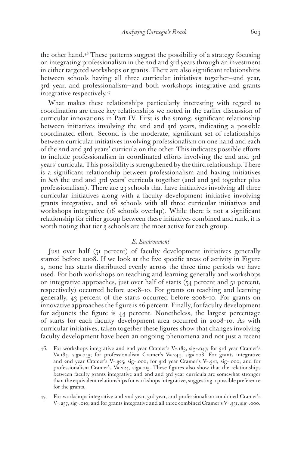the other hand.46 These patterns suggest the possibility of a strategy focusing on integrating professionalism in the 2nd and 3rd years through an investment in either targeted workshops or grants. There are also significant relationships between schools having all three curricular initiatives together—2nd year, 3rd year, and professionalism—and both workshops integrative and grants integrative respectively.47

What makes these relationships particularly interesting with regard to coordination are three key relationships we noted in the earlier discussion of curricular innovations in Part IV. First is the strong, significant relationship between initiatives involving the 2nd and 3rd years, indicating a possible coordinated effort. Second is the moderate, significant set of relationships between curricular initiatives involving professionalism on one hand and each of the 2nd and 3rd years' curricula on the other. This indicates possible efforts to include professionalism in coordinated efforts involving the 2nd and 3rd years' curricula. This possibility is strengthened by the third relationship. There is a significant relationship between professionalism and having initiatives in *both* the 2nd and 3rd years' curricula together (2nd and 3rd together plus professionalism). There are 23 schools that have initiatives involving all three curricular initiatives along with a faculty development initiative involving grants integrative, and 26 schools with all three curricular initiatives and workshops integrative (16 schools overlap). While there is not a significant relationship for either group between these initiatives combined and rank, it is worth noting that tier 3 schools are the most active for each group.

#### *E. Environment*

Just over half (51 percent) of faculty development initiatives generally started before 2008. If we look at the five specific areas of activity in Figure 2, none has starts distributed evenly across the three time periods we have used. For both workshops on teaching and learning generally and workshops on integrative approaches, just over half of starts (54 percent and 51 percent, respectively) occurred before 2008–10. For grants on teaching and learning generally, 43 percent of the starts occurred before 2008–10. For grants on innovative approaches the figure is 26 percent. Finally, for faculty development for adjuncts the figure is 44 percent. Nonetheless, the largest percentage of starts for each faculty development area occurred in 2008–10. As with curricular initiatives, taken together these figures show that changes involving faculty development have been an ongoing phenomena and not just a recent

- 46. For workshops integrative and 2nd year Cramer's V=.183, sig=.047; for 3rd year Cramer's V=.184, sig=.045; for professionalism Cramer's V=.244, sig=.008. For grants integrative and 2nd year Cramer's V=.325, sig=.000; for 3rd year Cramer's V=.341, sig=.000; and for professionalism Cramer's V=.224, sig=.015. These figures also show that the relationships between faculty grants integrative and 2nd and 3rd year curricula are somewhat stronger than the equivalent relationships for workshops integrative, suggesting a possible preference for the grants.
- 47. For workshops integrative and 2nd year, 3rd year, and professionalism combined Cramer's V=.237, sig=.010; and for grants integrative and all three combined Cramer's V=.331, sig=.000.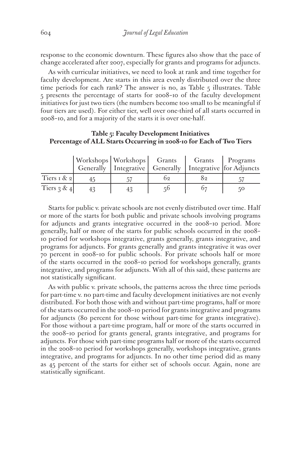response to the economic downturn. These figures also show that the pace of change accelerated after 2007, especially for grants and programs for adjuncts.

As with curricular initiatives, we need to look at rank and time together for faculty development. Are starts in this area evenly distributed over the three time periods for each rank? The answer is no, as Table 5 illustrates. Table 5 presents the percentage of starts for 2008–10 of the faculty development initiatives for just two tiers (the numbers become too small to be meaningful if four tiers are used). For either tier, well over one-third of all starts occurred in 2008–10, and for a majority of the starts it is over one-half.

## **Table 5: Faculty Development Initiatives Percentage of ALL Starts Occurring in 2008-10 for Each of Two Tiers**

|                         | Workshops Workshops Grants<br>Generally   Integrative   Generally   Integrative   for Adjuncts |    |    | Grants   Programs |
|-------------------------|------------------------------------------------------------------------------------------------|----|----|-------------------|
| Tiers $\lceil x \rceil$ |                                                                                                | ს2 | 82 |                   |
| Tiers $3 & 4$           |                                                                                                |    |    | 50                |

Starts for public v. private schools are not evenly distributed over time. Half or more of the starts for both public and private schools involving programs for adjuncts and grants integrative occurred in the 2008–10 period. More generally, half or more of the starts for public schools occurred in the 2008– 10 period for workshops integrative, grants generally, grants integrative, and programs for adjuncts. For grants generally and grants integrative it was over 70 percent in 2008–10 for public schools. For private schools half or more of the starts occurred in the 2008–10 period for workshops generally, grants integrative, and programs for adjuncts. With all of this said, these patterns are not statistically significant.

As with public v. private schools, the patterns across the three time periods for part-time v. no part-time and faculty development initiatives are not evenly distributed. For both those with and without part-time programs, half or more of the starts occurred in the 2008–10 period for grants integrative and programs for adjuncts (80 percent for those without part-time for grants integrative). For those without a part-time program, half or more of the starts occurred in the 2008–10 period for grants general, grants integrative, and programs for adjuncts. For those with part-time programs half or more of the starts occurred in the 2008–10 period for workshops generally, workshops integrative, grants integrative, and programs for adjuncts. In no other time period did as many as 45 percent of the starts for either set of schools occur. Again, none are statistically significant.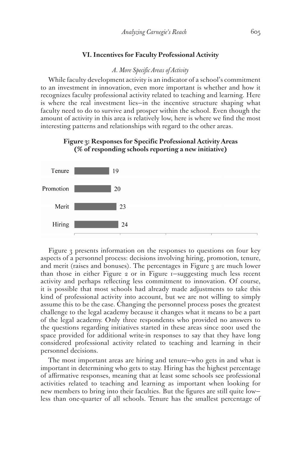## **VI. Incentives for Faculty Professional Activity**

#### *A. More Specific Areas of Activity*

While faculty development activity is an indicator of a school's commitment to an investment in innovation, even more important is whether and how it recognizes faculty professional activity related to teaching and learning. Here is where the real investment lies—in the incentive structure shaping what faculty need to do to survive and prosper within the school. Even though the amount of activity in this area is relatively low, here is where we find the most interesting patterns and relationships with regard to the other areas.

## **Figure 3: Responses for Specific Professional Activity Areas (% of responding schools reporting a new initiative)**



Figure 3 presents information on the responses to questions on four key aspects of a personnel process: decisions involving hiring, promotion, tenure, and merit (raises and bonuses). The percentages in Figure 3 are much lower than those in either Figure 2 or in Figure 1—suggesting much less recent activity and perhaps reflecting less commitment to innovation. Of course, it is possible that most schools had already made adjustments to take this kind of professional activity into account, but we are not willing to simply assume this to be the case. Changing the personnel process poses the greatest challenge to the legal academy because it changes what it means to be a part of the legal academy. Only three respondents who provided no answers to the questions regarding initiatives started in these areas since 2001 used the space provided for additional write-in responses to say that they have long considered professional activity related to teaching and learning in their personnel decisions.

The most important areas are hiring and tenure—who gets in and what is important in determining who gets to stay. Hiring has the highest percentage of affirmative responses, meaning that at least some schools see professional activities related to teaching and learning as important when looking for new members to bring into their faculties. But the figures are still quite low less than one-quarter of all schools. Tenure has the smallest percentage of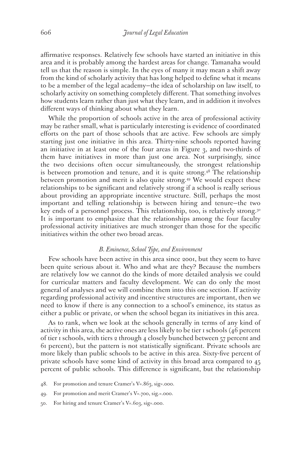affirmative responses. Relatively few schools have started an initiative in this area and it is probably among the hardest areas for change. Tamanaha would tell us that the reason is simple. In the eyes of many it may mean a shift away from the kind of scholarly activity that has long helped to define what it means to be a member of the legal academy—the idea of scholarship on law itself, to scholarly activity on something completely different. That something involves how students learn rather than just what they learn, and in addition it involves different ways of thinking about what they learn.

While the proportion of schools active in the area of professional activity may be rather small, what is particularly interesting is evidence of coordinated efforts on the part of those schools that are active. Few schools are simply starting just one initiative in this area. Thirty-nine schools reported having an initiative in at least one of the four areas in Figure 3, and two-thirds of them have initiatives in more than just one area. Not surprisingly, since the two decisions often occur simultaneously, the strongest relationship is between promotion and tenure, and it is quite strong.<sup>48</sup> The relationship between promotion and merit is also quite strong.49 We would expect these relationships to be significant and relatively strong if a school is really serious about providing an appropriate incentive structure. Still, perhaps the most important and telling relationship is between hiring and tenure—the two key ends of a personnel process. This relationship, too, is relatively strong.<sup>50</sup> It is important to emphasize that the relationships among the four faculty professional activity initiatives are much stronger than those for the specific initiatives within the other two broad areas.

#### *B. Eminence, School Type, and Environment*

Few schools have been active in this area since 2001, but they seem to have been quite serious about it. Who and what are they? Because the numbers are relatively low we cannot do the kinds of more detailed analysis we could for curricular matters and faculty development. We can do only the most general of analyses and we will combine them into this one section. If activity regarding professional activity and incentive structures are important, then we need to know if there is any connection to a school's eminence, its status as either a public or private, or when the school began its initiatives in this area.

As to rank, when we look at the schools generally in terms of any kind of activity in this area, the active ones are less likely to be tier 1 schools (46 percent of tier 1 schools, with tiers 2 through 4 closely bunched between 57 percent and 61 percent), but the pattern is not statistically significant. Private schools are more likely than public schools to be active in this area. Sixty-five percent of private schools have some kind of activity in this broad area compared to 45 percent of public schools. This difference is significant, but the relationship

- 48. For promotion and tenure Cramer's V=.863, sig=.000.
- 49. For promotion and merit Cramer's V=.700, sig.=.000.
- 50. For hiring and tenure Cramer's V=.603, sig=.000.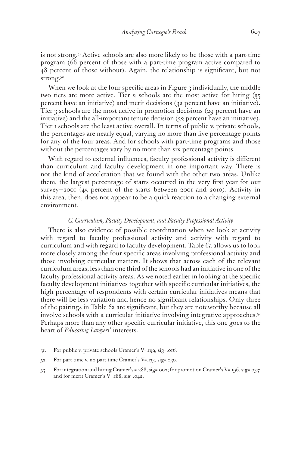is not strong.51 Active schools are also more likely to be those with a part-time program (66 percent of those with a part-time program active compared to 48 percent of those without). Again, the relationship is significant, but not strong.<sup>52</sup>

When we look at the four specific areas in Figure 3 individually, the middle two tiers are more active. Tier 2 schools are the most active for hiring (35 percent have an initiative) and merit decisions (32 percent have an initiative). Tier 3 schools are the most active in promotion decisions (29 percent have an initiative) and the all-important tenure decision (32 percent have an initiative). Tier 1 schools are the least active overall. In terms of public v. private schools, the percentages are nearly equal, varying no more than five percentage points for any of the four areas. And for schools with part-time programs and those without the percentages vary by no more than six percentage points.

With regard to external influences, faculty professional activity is different than curriculum and faculty development in one important way. There is not the kind of acceleration that we found with the other two areas. Unlike them, the largest percentage of starts occurred in the very first year for our survey—2001 (45 percent of the starts between 2001 and 2010). Activity in this area, then, does not appear to be a quick reaction to a changing external environment.

#### *C. Curriculum, Faculty Development, and Faculty Professional Activity*

There is also evidence of possible coordination when we look at activity with regard to faculty professional activity and activity with regard to curriculum and with regard to faculty development. Table 6a allows us to look more closely among the four specific areas involving professional activity and those involving curricular matters. It shows that across each of the relevant curriculum areas, less than one third of the schools had an initiative in one of the faculty professional activity areas. As we noted earlier in looking at the specific faculty development initiatives together with specific curricular initiatives, the high percentage of respondents with certain curricular initiatives means that there will be less variation and hence no significant relationships. Only three of the pairings in Table 6a are significant, but they are noteworthy because all involve schools with a curricular initiative involving integrative approaches.<sup>53</sup> Perhaps more than any other specific curricular initiative, this one goes to the heart of *Educating Lawyers*' interests.

- 51. For public v. private schools Cramer's V=.199, sig=.016.
- 52. For part-time v. no part-time Cramer's V=.173, sig=.030.
- 53. For integration and hiring Cramer's =.288, sig=.002; for promotion Cramer's V=.196, sig=.033; and for merit Cramer's V=.188, sig=.042.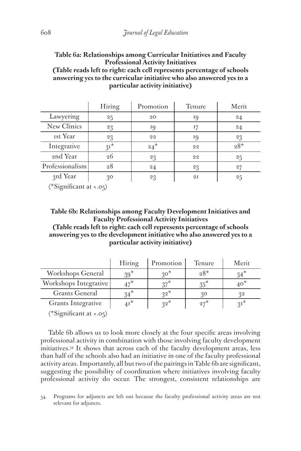**Table 6a: Relationships among Curricular Initiatives and Faculty Professional Activity Initiatives (Table reads left to right: each cell represents percentage of schools answering yes to the curricular initiative who also answered yes to a particular activity initiative)**

|                 | Hiring | Promotion | <b>Tenure</b> | Merit |
|-----------------|--------|-----------|---------------|-------|
| Lawyering       | 25     | 20        | 19            | 24    |
| New Clinics     | 23     | 19        | 17            | 24    |
| <b>Ist Year</b> | 23     | 22        | 19            | 23    |
| Integrative     | $3I^*$ | $24*$     | 22            | $28*$ |
| 2nd Year        | 26     | 23        | 22            | 25    |
| Professionalism | 28     | 24        | 23            | 27    |
| 3rd Year        | 30     | 23        | 2I            | 25    |

(\*Significant at <.05)

**Table 6b: Relationships among Faculty Development Initiatives and Faculty Professional Activity Initiatives (Table reads left to right: each cell represents percentage of schools answering yes to the development initiative who also answered yes to a particular activity initiative)**

|                       | Hiring | Promotion | Tenure | Merit  |
|-----------------------|--------|-----------|--------|--------|
| Workshops General     | $39*$  | $20^*$    | 28*    |        |
| Workshops Integrative | $47^*$ | $27*$     |        | $40^*$ |
| <b>Grants General</b> | $34*$  | $32*$     | 30     | 22     |
| Grants Integrative    |        | $32*$     | $27^*$ | $21^*$ |

(\*Significant at <.05)

Table 6b allows us to look more closely at the four specific areas involving professional activity in combination with those involving faculty development initiatives.54 It shows that across each of the faculty development areas, less than half of the schools also had an initiative in one of the faculty professional activity areas. Importantly, all but two of the pairings in Table 6b are significant, suggesting the possibility of coordination where initiatives involving faculty professional activity do occur. The strongest, consistent relationships are

54. Programs for adjuncts are left out because the faculty professional activity areas are not relevant for adjuncts.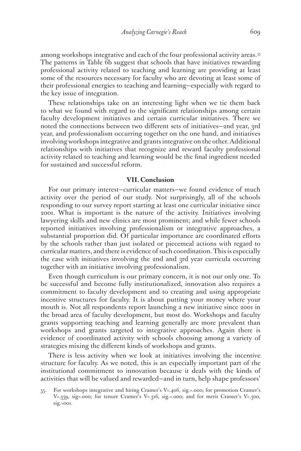among workshops integrative and each of the four professional activity areas.55 The patterns in Table 6b suggest that schools that have initiatives rewarding professional activity related to teaching and learning are providing at least some of the resources necessary for faculty who are devoting at least some of their professional energies to teaching and learning—especially with regard to the key issue of integration.

These relationships take on an interesting light when we tie them back to what we found with regard to the significant relationships among certain faculty development initiatives and certain curricular initiatives. There we noted the connections between two different sets of initiatives—2nd year, 3rd year, and professionalism occurring together on the one hand, and initiatives involving workshops integrative and grants integrative on the other. Additional relationships with initiatives that recognize and reward faculty professional activity related to teaching and learning would be the final ingredient needed for sustained and successful reform.

#### **VII. Conclusion**

For our primary interest—curricular matters—we found evidence of much activity over the period of our study. Not surprisingly, all of the schools responding to our survey report starting at least one curricular initiative since 2001. What is important is the nature of the activity. Initiatives involving lawyering skills and new clinics are most prominent; and while fewer schools reported initiatives involving professionalism or integrative approaches, a substantial proportion did. Of particular importance are coordinated efforts by the schools rather than just isolated or piecemeal actions with regard to curricular matters, and there is evidence of such coordination. This is especially the case with initiatives involving the 2nd and 3rd year curricula occurring together with an initiative involving professionalism.

Even though curriculum is our primary concern, it is not our only one. To be successful and become fully institutionalized, innovation also requires a commitment to faculty development and to creating and using appropriate incentive structures for faculty. It is about putting your money where your mouth is. Not all respondents report launching a new initiative since 2001 in the broad area of faculty development, but most do. Workshops and faculty grants supporting teaching and learning generally are more prevalent than workshops and grants targeted to integrative approaches. Again there is evidence of coordinated activity with schools choosing among a variety of strategies mixing the different kinds of workshops and grants.

There is less activity when we look at initiatives involving the incentive structure for faculty. As we noted, this is an especially important part of the institutional commitment to innovation because it deals with the kinds of activities that will be valued and rewarded—and in turn, help shape professors'

<sup>55.</sup> For workshops integrative and hiring Cramer's V=.406, sig.=.000; for promotion Cramer's V=.339, sig=.000; for tenure Cramer's V=.316, sig.=.000; and for merit Cramer's V=.300, sig.=001.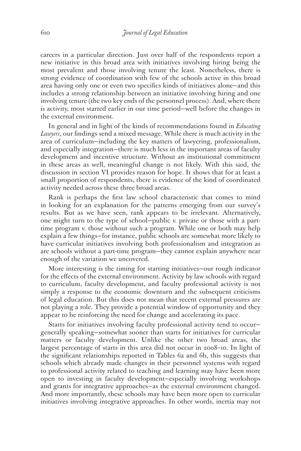careers in a particular direction. Just over half of the respondents report a new initiative in this broad area with initiatives involving hiring being the most prevalent and those involving tenure the least. Nonetheless, there is strong evidence of coordination with few of the schools active in this broad area having only one or even two specifics kinds of initiatives alone—and this includes a strong relationship between an initiative involving hiring and one involving tenure (the two key ends of the personnel process). And, where there is activity, most started earlier in our time period—well before the changes in the external environment.

In general and in light of the kinds of recommendations found in *Educating Lawyers*, our findings send a mixed message. While there is much activity in the area of curriculum—including the key matters of lawyering, professionalism, and especially integration—there is much less in the important areas of faculty development and incentive structure. Without an institutional commitment in these areas as well, meaningful change is not likely. With this said, the discussion in section VI provides reason for hope. It shows that for at least a small proportion of respondents, there is evidence of the kind of coordinated activity needed across these three broad areas.

Rank is perhaps the first law school characteristic that comes to mind in looking for an explanation for the patterns emerging from our survey's results. But as we have seen, rank appears to be irrelevant. Alternatively, one might turn to the type of school—public v. private or those with a parttime program v. those without such a program. While one or both may help explain a few things—for instance, public schools are somewhat more likely to have curricular initiatives involving both professionalism and integration as are schools without a part-time program—they cannot explain anywhere near enough of the variation we uncovered.

More interesting is the timing for starting initiatives—our rough indicator for the effects of the external environment. Activity by law schools with regard to curriculum, faculty development, and faculty professional activity is not simply a response to the economic downturn and the subsequent criticisms of legal education. But this does not mean that recent external pressures are not playing a role. They provide a potential window of opportunity and they appear to be reinforcing the need for change and accelerating its pace.

Starts for initiatives involving faculty professional activity tend to occur generally speaking—somewhat sooner than starts for initiatives for curricular matters or faculty development. Unlike the other two broad areas, the largest percentage of starts in this area did not occur in 2008–10. In light of the significant relationships reported in Tables 6a and 6b, this suggests that schools which already made changes in their personnel systems with regard to professional activity related to teaching and learning may have been more open to investing in faculty development—especially involving workshops and grants for integrative approaches—as the external environment changed. And more importantly, these schools may have been more open to curricular initiatives involving integrative approaches. In other words, inertia may not